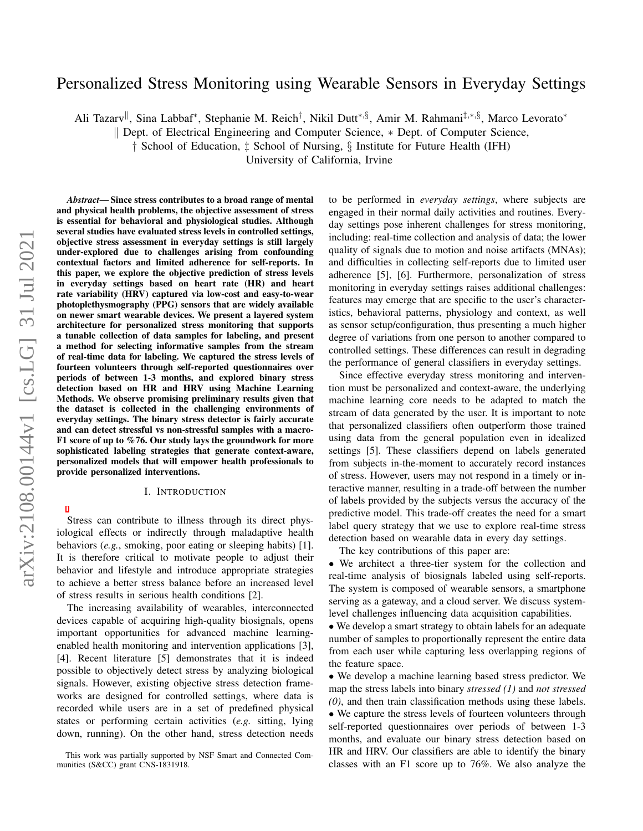# Personalized Stress Monitoring using Wearable Sensors in Everyday Settings

Ali Tazarv<sup>||</sup>, Sina Labbaf\*, Stephanie M. Reich<sup>†</sup>, Nikil Dutt\*,§, Amir M. Rahmani<sup>‡,∗,§</sup>, Marco Levorato\*

k Dept. of Electrical Engineering and Computer Science, ∗ Dept. of Computer Science,

† School of Education, ‡ School of Nursing, § Institute for Future Health (IFH)

University of California, Irvine

*Abstract*— Since stress contributes to a broad range of mental and physical health problems, the objective assessment of stress is essential for behavioral and physiological studies. Although several studies have evaluated stress levels in controlled settings, objective stress assessment in everyday settings is still largely under-explored due to challenges arising from confounding contextual factors and limited adherence for self-reports. In this paper, we explore the objective prediction of stress levels in everyday settings based on heart rate (HR) and heart rate variability (HRV) captured via low-cost and easy-to-wear photoplethysmography (PPG) sensors that are widely available on newer smart wearable devices. We present a layered system architecture for personalized stress monitoring that supports a tunable collection of data samples for labeling, and present a method for selecting informative samples from the stream of real-time data for labeling. We captured the stress levels of fourteen volunteers through self-reported questionnaires over periods of between 1-3 months, and explored binary stress detection based on HR and HRV using Machine Learning Methods. We observe promising preliminary results given that the dataset is collected in the challenging environments of everyday settings. The binary stress detector is fairly accurate and can detect stressful vs non-stressful samples with a macro-F1 score of up to %76. Our study lays the groundwork for more sophisticated labeling strategies that generate context-aware, personalized models that will empower health professionals to provide personalized interventions.

#### I. INTRODUCTION

Stress can contribute to illness through its direct physiological effects or indirectly through maladaptive health behaviors (*e.g.*, smoking, poor eating or sleeping habits) [1]. It is therefore critical to motivate people to adjust their behavior and lifestyle and introduce appropriate strategies to achieve a better stress balance before an increased level of stress results in serious health conditions [2].

The increasing availability of wearables, interconnected devices capable of acquiring high-quality biosignals, opens important opportunities for advanced machine learningenabled health monitoring and intervention applications [3], [4]. Recent literature [5] demonstrates that it is indeed possible to objectively detect stress by analyzing biological signals. However, existing objective stress detection frameworks are designed for controlled settings, where data is recorded while users are in a set of predefined physical states or performing certain activities (*e.g.* sitting, lying down, running). On the other hand, stress detection needs to be performed in *everyday settings*, where subjects are engaged in their normal daily activities and routines. Everyday settings pose inherent challenges for stress monitoring, including: real-time collection and analysis of data; the lower quality of signals due to motion and noise artifacts (MNAs); and difficulties in collecting self-reports due to limited user adherence [5], [6]. Furthermore, personalization of stress monitoring in everyday settings raises additional challenges: features may emerge that are specific to the user's characteristics, behavioral patterns, physiology and context, as well as sensor setup/configuration, thus presenting a much higher degree of variations from one person to another compared to controlled settings. These differences can result in degrading the performance of general classifiers in everyday settings.

Since effective everyday stress monitoring and intervention must be personalized and context-aware, the underlying machine learning core needs to be adapted to match the stream of data generated by the user. It is important to note that personalized classifiers often outperform those trained using data from the general population even in idealized settings [5]. These classifiers depend on labels generated from subjects in-the-moment to accurately record instances of stress. However, users may not respond in a timely or interactive manner, resulting in a trade-off between the number of labels provided by the subjects versus the accuracy of the predictive model. This trade-off creates the need for a smart label query strategy that we use to explore real-time stress detection based on wearable data in every day settings.

The key contributions of this paper are:

• We architect a three-tier system for the collection and real-time analysis of biosignals labeled using self-reports. The system is composed of wearable sensors, a smartphone serving as a gateway, and a cloud server. We discuss systemlevel challenges influencing data acquisition capabilities.

• We develop a smart strategy to obtain labels for an adequate number of samples to proportionally represent the entire data from each user while capturing less overlapping regions of the feature space.

• We develop a machine learning based stress predictor. We map the stress labels into binary *stressed (1)* and *not stressed (0)*, and then train classification methods using these labels. • We capture the stress levels of fourteen volunteers through self-reported questionnaires over periods of between 1-3 months, and evaluate our binary stress detection based on HR and HRV. Our classifiers are able to identify the binary classes with an F1 score up to 76%. We also analyze the

This work was partially supported by NSF Smart and Connected Communities (S&CC) grant CNS-1831918.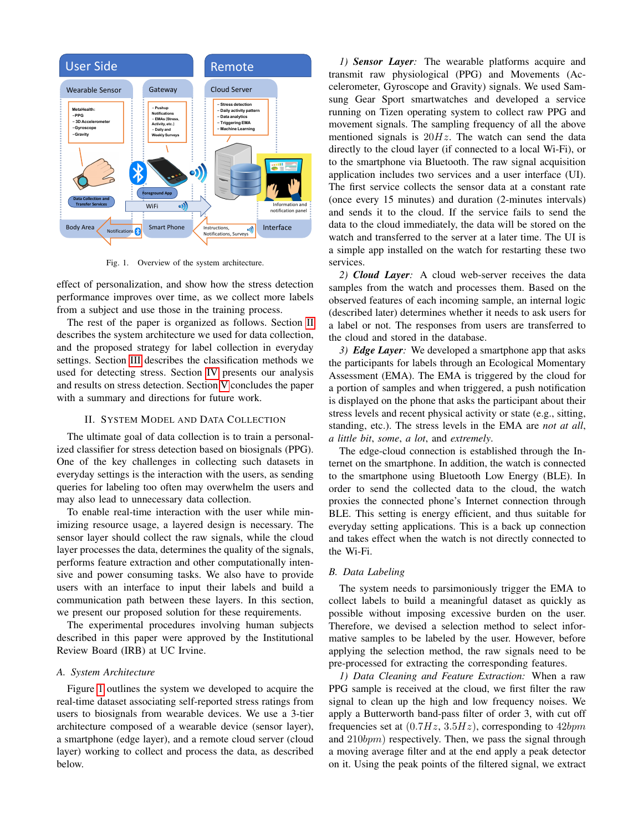

<span id="page-1-1"></span>Fig. 1. Overview of the system architecture.

effect of personalization, and show how the stress detection performance improves over time, as we collect more labels from a subject and use those in the training process.

The rest of the paper is organized as follows. Section [II](#page-1-0) describes the system architecture we used for data collection, and the proposed strategy for label collection in everyday settings. Section [III](#page-2-0) describes the classification methods we used for detecting stress. Section [IV](#page-2-1) presents our analysis and results on stress detection. Section [V](#page-3-0) concludes the paper with a summary and directions for future work.

# II. SYSTEM MODEL AND DATA COLLECTION

<span id="page-1-0"></span>The ultimate goal of data collection is to train a personalized classifier for stress detection based on biosignals (PPG). One of the key challenges in collecting such datasets in everyday settings is the interaction with the users, as sending queries for labeling too often may overwhelm the users and may also lead to unnecessary data collection.

To enable real-time interaction with the user while minimizing resource usage, a layered design is necessary. The sensor layer should collect the raw signals, while the cloud layer processes the data, determines the quality of the signals, performs feature extraction and other computationally intensive and power consuming tasks. We also have to provide users with an interface to input their labels and build a communication path between these layers. In this section, we present our proposed solution for these requirements.

The experimental procedures involving human subjects described in this paper were approved by the Institutional Review Board (IRB) at UC Irvine.

#### *A. System Architecture*

Figure [1](#page-1-1) outlines the system we developed to acquire the real-time dataset associating self-reported stress ratings from users to biosignals from wearable devices. We use a 3-tier architecture composed of a wearable device (sensor layer), a smartphone (edge layer), and a remote cloud server (cloud layer) working to collect and process the data, as described below.

*1) Sensor Layer:* The wearable platforms acquire and transmit raw physiological (PPG) and Movements (Accelerometer, Gyroscope and Gravity) signals. We used Samsung Gear Sport smartwatches and developed a service running on Tizen operating system to collect raw PPG and movement signals. The sampling frequency of all the above mentioned signals is  $20Hz$ . The watch can send the data directly to the cloud layer (if connected to a local Wi-Fi), or to the smartphone via Bluetooth. The raw signal acquisition application includes two services and a user interface (UI). The first service collects the sensor data at a constant rate (once every 15 minutes) and duration (2-minutes intervals) and sends it to the cloud. If the service fails to send the data to the cloud immediately, the data will be stored on the watch and transferred to the server at a later time. The UI is a simple app installed on the watch for restarting these two services.

*2) Cloud Layer:* A cloud web-server receives the data samples from the watch and processes them. Based on the observed features of each incoming sample, an internal logic (described later) determines whether it needs to ask users for a label or not. The responses from users are transferred to the cloud and stored in the database.

*3) Edge Layer:* We developed a smartphone app that asks the participants for labels through an Ecological Momentary Assessment (EMA). The EMA is triggered by the cloud for a portion of samples and when triggered, a push notification is displayed on the phone that asks the participant about their stress levels and recent physical activity or state (e.g., sitting, standing, etc.). The stress levels in the EMA are *not at all*, *a little bit*, *some*, *a lot*, and *extremely*.

The edge-cloud connection is established through the Internet on the smartphone. In addition, the watch is connected to the smartphone using Bluetooth Low Energy (BLE). In order to send the collected data to the cloud, the watch proxies the connected phone's Internet connection through BLE. This setting is energy efficient, and thus suitable for everyday setting applications. This is a back up connection and takes effect when the watch is not directly connected to the Wi-Fi.

# *B. Data Labeling*

The system needs to parsimoniously trigger the EMA to collect labels to build a meaningful dataset as quickly as possible without imposing excessive burden on the user. Therefore, we devised a selection method to select informative samples to be labeled by the user. However, before applying the selection method, the raw signals need to be pre-processed for extracting the corresponding features.

*1) Data Cleaning and Feature Extraction:* When a raw PPG sample is received at the cloud, we first filter the raw signal to clean up the high and low frequency noises. We apply a Butterworth band-pass filter of order 3, with cut off frequencies set at  $(0.7Hz, 3.5Hz)$ , corresponding to  $42bpm$ and 210bpm) respectively. Then, we pass the signal through a moving average filter and at the end apply a peak detector on it. Using the peak points of the filtered signal, we extract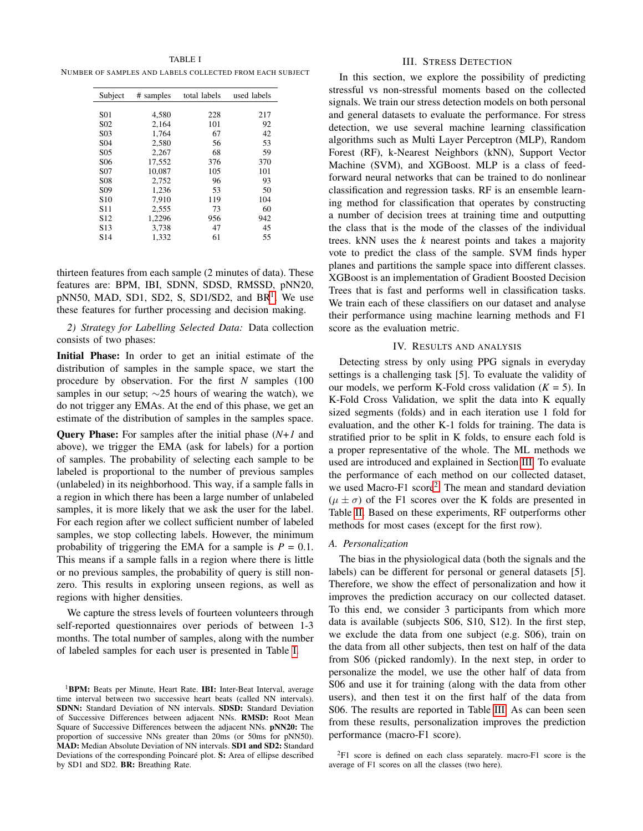<span id="page-2-3"></span>TABLE I NUMBER OF SAMPLES AND LABELS COLLECTED FROM EACH SUBJECT

| Subject          | # samples | total labels | used labels |
|------------------|-----------|--------------|-------------|
| S <sub>01</sub>  | 4,580     | 228          | 217         |
| S <sub>0</sub> 2 | 2.164     | 101          | 92          |
| S <sub>0</sub> 3 | 1.764     | 67           | 42          |
| S <sub>04</sub>  | 2,580     | 56           | 53          |
| S <sub>05</sub>  | 2,267     | 68           | 59          |
| S <sub>06</sub>  | 17,552    | 376          | 370         |
| S <sub>07</sub>  | 10.087    | 105          | 101         |
| S <sub>08</sub>  | 2.752     | 96           | 93          |
| S <sub>09</sub>  | 1,236     | 53           | 50          |
| S <sub>10</sub>  | 7.910     | 119          | 104         |
| S <sub>11</sub>  | 2,555     | 73           | 60          |
| S <sub>12</sub>  | 1,2296    | 956          | 942         |
| S <sub>13</sub>  | 3,738     | 47           | 45          |
| S <sub>14</sub>  | 1.332     | 61           | 55          |

thirteen features from each sample (2 minutes of data). These features are: BPM, IBI, SDNN, SDSD, RMSSD, pNN20,  $pNN50$ , MAD, SD[1](#page-2-2), SD2, S, SD1/SD2, and BR<sup>1</sup>. We use these features for further processing and decision making.

*2) Strategy for Labelling Selected Data:* Data collection consists of two phases:

Initial Phase: In order to get an initial estimate of the distribution of samples in the sample space, we start the procedure by observation. For the first *N* samples (100 samples in our setup;  $\sim$ 25 hours of wearing the watch), we do not trigger any EMAs. At the end of this phase, we get an estimate of the distribution of samples in the samples space.

Query Phase: For samples after the initial phase (*N+1* and above), we trigger the EMA (ask for labels) for a portion of samples. The probability of selecting each sample to be labeled is proportional to the number of previous samples (unlabeled) in its neighborhood. This way, if a sample falls in a region in which there has been a large number of unlabeled samples, it is more likely that we ask the user for the label. For each region after we collect sufficient number of labeled samples, we stop collecting labels. However, the minimum probability of triggering the EMA for a sample is  $P = 0.1$ . This means if a sample falls in a region where there is little or no previous samples, the probability of query is still nonzero. This results in exploring unseen regions, as well as regions with higher densities.

We capture the stress levels of fourteen volunteers through self-reported questionnaires over periods of between 1-3 months. The total number of samples, along with the number of labeled samples for each user is presented in Table [I.](#page-2-3)

## III. STRESS DETECTION

<span id="page-2-0"></span>In this section, we explore the possibility of predicting stressful vs non-stressful moments based on the collected signals. We train our stress detection models on both personal and general datasets to evaluate the performance. For stress detection, we use several machine learning classification algorithms such as Multi Layer Perceptron (MLP), Random Forest (RF), k-Nearest Neighbors (kNN), Support Vector Machine (SVM), and XGBoost. MLP is a class of feedforward neural networks that can be trained to do nonlinear classification and regression tasks. RF is an ensemble learning method for classification that operates by constructing a number of decision trees at training time and outputting the class that is the mode of the classes of the individual trees. kNN uses the *k* nearest points and takes a majority vote to predict the class of the sample. SVM finds hyper planes and partitions the sample space into different classes. XGBoost is an implementation of Gradient Boosted Decision Trees that is fast and performs well in classification tasks. We train each of these classifiers on our dataset and analyse their performance using machine learning methods and F1 score as the evaluation metric.

# IV. RESULTS AND ANALYSIS

<span id="page-2-1"></span>Detecting stress by only using PPG signals in everyday settings is a challenging task [5]. To evaluate the validity of our models, we perform K-Fold cross validation  $(K = 5)$ . In K-Fold Cross Validation, we split the data into K equally sized segments (folds) and in each iteration use 1 fold for evaluation, and the other K-1 folds for training. The data is stratified prior to be split in K folds, to ensure each fold is a proper representative of the whole. The ML methods we used are introduced and explained in Section [III.](#page-2-0) To evaluate the performance of each method on our collected dataset, we used Macro-F1 score<sup>[2](#page-2-4)</sup>. The mean and standard deviation  $(\mu \pm \sigma)$  of the F1 scores over the K folds are presented in Table [II.](#page-3-1) Based on these experiments, RF outperforms other methods for most cases (except for the first row).

# *A. Personalization*

The bias in the physiological data (both the signals and the labels) can be different for personal or general datasets [5]. Therefore, we show the effect of personalization and how it improves the prediction accuracy on our collected dataset. To this end, we consider 3 participants from which more data is available (subjects S06, S10, S12). In the first step, we exclude the data from one subject (e.g. S06), train on the data from all other subjects, then test on half of the data from S06 (picked randomly). In the next step, in order to personalize the model, we use the other half of data from S06 and use it for training (along with the data from other users), and then test it on the first half of the data from S06. The results are reported in Table [III.](#page-3-2) As can been seen from these results, personalization improves the prediction performance (macro-F1 score).

<span id="page-2-2"></span><sup>&</sup>lt;sup>1</sup>BPM: Beats per Minute, Heart Rate. IBI: Inter-Beat Interval, average time interval between two successive heart beats (called NN intervals). SDNN: Standard Deviation of NN intervals. SDSD: Standard Deviation of Successive Differences between adjacent NNs. RMSD: Root Mean Square of Successive Differences between the adjacent NNs. pNN20: The proportion of successive NNs greater than 20ms (or 50ms for pNN50). MAD: Median Absolute Deviation of NN intervals. SD1 and SD2: Standard Deviations of the corresponding Poincaré plot. S: Area of ellipse described by SD1 and SD2. BR: Breathing Rate.

<span id="page-2-4"></span> ${}^{2}$ F1 score is defined on each class separately. macro-F1 score is the average of F1 scores on all the classes (two here).